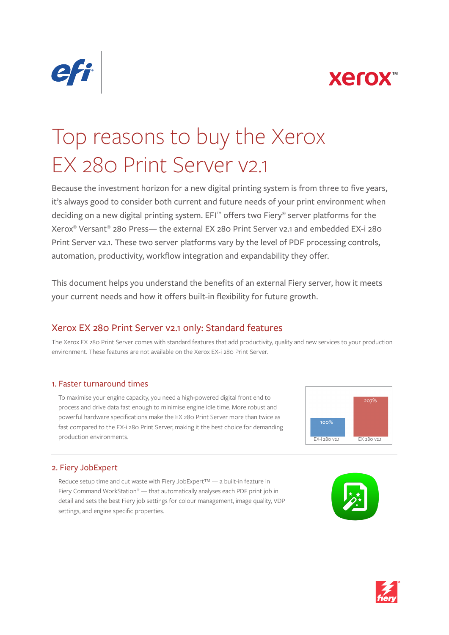



# Top reasons to buy the Xerox EX 280 Print Server v2.1

Because the investment horizon for a new digital printing system is from three to five years, it's always good to consider both current and future needs of your print environment when deciding on a new digital printing system. EFI™ offers two Fiery® server platforms for the Xerox® Versant® 280 Press— the external EX 280 Print Server v2.1 and embedded EX-i 280 Print Server v2.1. These two server platforms vary by the level of PDF processing controls, automation, productivity, workflow integration and expandability they offer.

This document helps you understand the benefits of an external Fiery server, how it meets your current needs and how it offers built-in flexibility for future growth.

# Xerox EX 280 Print Server v2.1 only: Standard features

The Xerox EX 280 Print Server comes with standard features that add productivity, quality and new services to your production environment. These features are not available on the Xerox EX-i 280 Print Server.

### 1. Faster turnaround times

To maximise your engine capacity, you need a high-powered digital front end to process and drive data fast enough to minimise engine idle time. More robust and powerful hardware specifications make the EX 280 Print Server more than twice as fast compared to the EX-i 280 Print Server, making it the best choice for demanding production environments.



### 2. Fiery JobExpert

Reduce setup time and cut waste with Fiery JobExpert™ — a built-in feature in Fiery Command WorkStation® — that automatically analyses each PDF print job in detail and sets the best Fiery job settings for colour management, image quality, VDP settings, and engine specific properties.



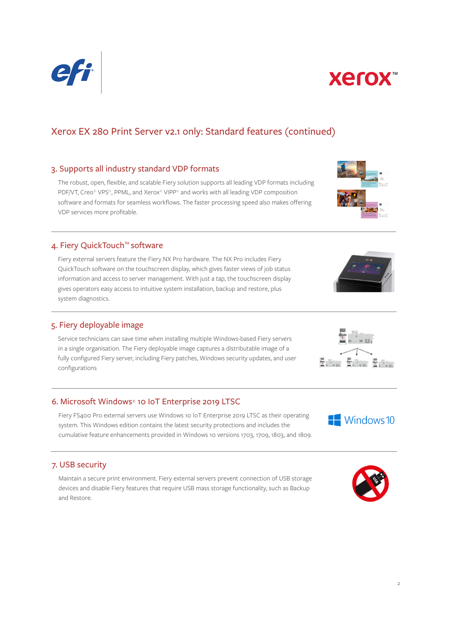# Xerox EX 280 Print Server v2.1 only: Standard features (continued)

#### 3. Supports all industry standard VDP formats

The robust, open, flexible, and scalable Fiery solution supports all leading VDP formats including PDF/VT, Creo® VPS®, PPML, and Xerox® VIPP® and works with all leading VDP composition software and formats for seamless workflows. The faster processing speed also makes offering VDP services more profitable.

#### 4. Fiery QuickTouch™software

Fiery external servers feature the Fiery NX Pro hardware. The NX Pro includes Fiery QuickTouch software on the touchscreen display, which gives faster views of job status information and access to server management. With just a tap, the touchscreen display gives operators easy access to intuitive system installation, backup and restore, plus system diagnostics.

### 5. Fiery deployable image

Service technicians can save time when installing multiple Windows-based Fiery servers in a single organisation. The Fiery deployable image captures a distributable image of a fully configured Fiery server, including Fiery patches, Windows security updates, and user configurations

### 6. Microsoft Windows® 10 IoT Enterprise 2019 LTSC

Fiery FS400 Pro external servers use Windows 10 IoT Enterprise 2019 LTSC as their operating system. This Windows edition contains the latest security protections and includes the cumulative feature enhancements provided in Windows 10 versions 1703, 1709, 1803, and 1809.

### 7. USB security

Maintain a secure print environment. Fiery external servers prevent connection of USB storage devices and disable Fiery features that require USB mass storage functionality, such as Backup and Restore.

















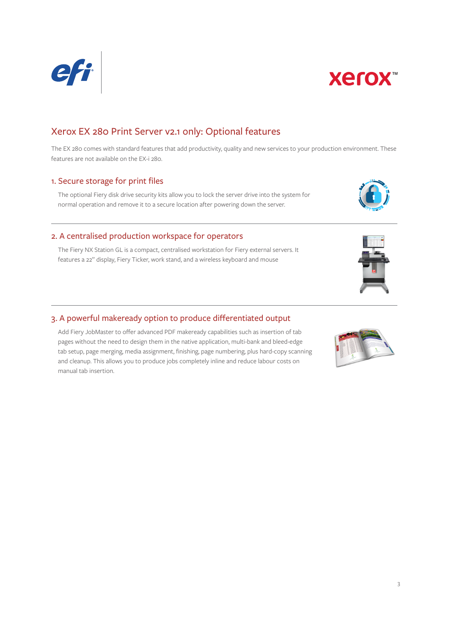# Xerox EX 280 Print Server v2.1 only: Optional features

The EX 280 comes with standard features that add productivity, quality and new services to your production environment. These features are not available on the EX-i 280.

#### 1. Secure storage for print files

normal operation and remove it to a secure location after powering down the server.

#### 2. A centralised production workspace for operators

The Fiery NX Station GL is a compact, centralised workstation for Fiery external servers. It features a 22" display, Fiery Ticker, work stand, and a wireless keyboard and mouse

### 3. A powerful makeready option to produce differentiated output

Add Fiery JobMaster to offer advanced PDF makeready capabilities such as insertion of tab pages without the need to design them in the native application, multi-bank and bleed-edge tab setup, page merging, media assignment, finishing, page numbering, plus hard-copy scanning and cleanup. This allows you to produce jobs completely inline and reduce labour costs on manual tab insertion.

The optional Fiery disk drive security kits allow you to lock the server drive into the system for









**Xerox™** 

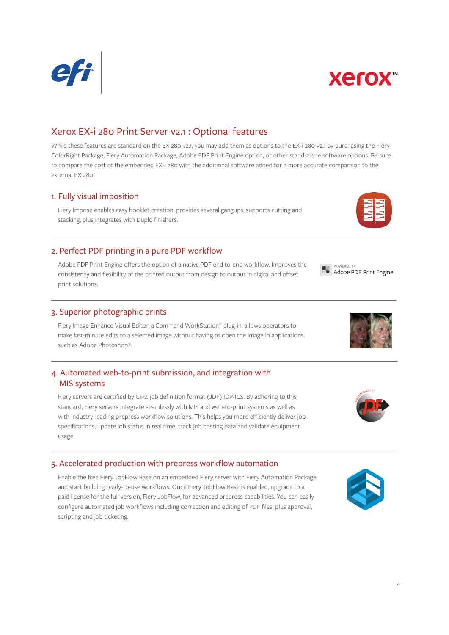# Xerox EX-i 280 Print Server v2.1 : Optional features

While these features are standard on the EX 280 v2.1, you may add them as options to the EX-i 280 v2.1 by purchasing the Fiery ColorRight Package, Fiery Automation Package, Adobe PDF Print Engine option, or other stand-alone software options. Be sure to compare the cost of the embedded EX-i 280 with the additional software added for a more accurate comparison to the external EX 280.

#### 1. Fully visual imposition

Fiery Impose enables easy booklet creation, provides several gangups, supports cutting and stacking, plus integrates with Duplo finishers.

### 2. Perfect PDF printing in a pure PDF workflow

Adobe PDF Print Engine offers the option of a native PDF end to-end workflow. Improves the consistency and flexibility of the printed output from design to output in digital and offset print solutions.

### 3. Superior photographic prints

Fiery Image Enhance Visual Editor, a Command WorkStation® plug-in, allows operators to make last-minute edits to a selected image without having to open the image in applications such as Adobe Photoshop®.

### 4. Automated web-to-print submission, and integration with MIS systems

Fiery servers are certified by CIP4 job definition format (JDF) IDP-ICS. By adhering to this standard, Fiery servers integrate seamlessly with MIS and web-to-print systems as well as with industry-leading prepress workflow solutions. This helps you more efficiently deliver job specifications, update job status in real time, track job costing data and validate equipment usage.

#### 5. Accelerated production with prepress workflow automation

Enable the free Fiery JobFlow Base on an embedded Fiery server with Fiery Automation Package and start building ready-to-use workflows. Once Fiery JobFlow Base is enabled, upgrade to a paid license for the full version, Fiery JobFlow, for advanced prepress capabilities. You can easily configure automated job workflows including correction and editing of PDF files, plus approval, scripting and job ticketing.

Adobe PDF Print Engine

**POWERED BY** 













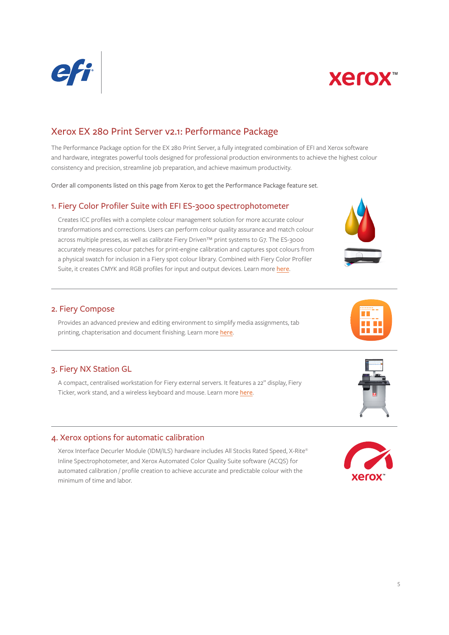



## Xerox EX 280 Print Server v2.1: Performance Package

The Performance Package option for the EX 280 Print Server, a fully integrated combination of EFI and Xerox software and hardware, integrates powerful tools designed for professional production environments to achieve the highest colour consistency and precision, streamline job preparation, and achieve maximum productivity.

Order all components listed on this page from Xerox to get the Performance Package feature set.

#### 1. Fiery Color Profiler Suite with EFI ES-3000 spectrophotometer

Creates ICC profiles with a complete colour management solution for more accurate colour transformations and corrections. Users can perform colour quality assurance and match colour across multiple presses, as well as calibrate Fiery Driven™ print systems to G7. The ES-3000 accurately measures colour patches for print-engine calibration and captures spot colours from a physical swatch for inclusion in a Fiery spot colour library. Combined with Fiery Color Profiler Suite, it creates CMYK and RGB profiles for input and output devices. Learn more [here](http://www.efi.com/cps).

#### 2. Fiery Compose

Provides an advanced preview and editing environment to simplify media assignments, tab printing, chapterisation and document finishing. Learn more [here](http://www.efi.com/compose).

### 3. Fiery NX Station GL

A compact, centralised workstation for Fiery external servers. It features a 22" display, Fiery Ticker, work stand, and a wireless keyboard and mouse. Learn more [here](https://www.efi.com/products/fiery-servers-and-software/fiery-production-solutions/fiery-nx-station/overview/).

#### 4. Xerox options for automatic calibration

Xerox Interface Decurler Module (IDM/ILS) hardware includes All Stocks Rated Speed, X-Rite® Inline Spectrophotometer, and Xerox Automated Color Quality Suite software (ACQS) for automated calibration / profile creation to achieve accurate and predictable colour with the minimum of time and labor.





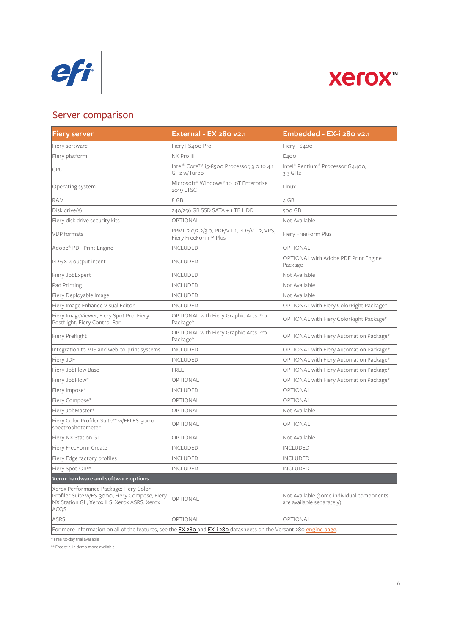



# Server comparison

| <b>Fiery server</b>                                                                                                                                    | External - EX 280 v2.1                                             | Embedded - EX-i 280 v2.1                                               |
|--------------------------------------------------------------------------------------------------------------------------------------------------------|--------------------------------------------------------------------|------------------------------------------------------------------------|
| Fiery software                                                                                                                                         | Fiery FS400 Pro                                                    | Fiery FS400                                                            |
| Fiery platform                                                                                                                                         | NX Pro III                                                         | E <sub>400</sub>                                                       |
| CPU                                                                                                                                                    | Intel® Core™ i5-8500 Processor, 3.0 to 4.1<br>GHz w/Turbo          | Intel® Pentium® Processor G4400,<br>3.3 $GHz$                          |
| Operating system                                                                                                                                       | Microsoft® Windows® 10 IoT Enterprise<br>2019 LTSC                 | Linux                                                                  |
| <b>RAM</b>                                                                                                                                             | 8 GB                                                               | 4 GB                                                                   |
| Disk drive(s)                                                                                                                                          | 240/256 GB SSD SATA + 1 TB HDD                                     | 500 GB                                                                 |
| Fiery disk drive security kits                                                                                                                         | <b>OPTIONAL</b>                                                    | Not Available                                                          |
| <b>VDP</b> formats                                                                                                                                     | PPML 2.0/2.2/3.0, PDF/VT-1, PDF/VT-2, VPS,<br>Fiery FreeForm™ Plus | Fiery FreeForm Plus                                                    |
| Adobe® PDF Print Engine                                                                                                                                | <b>INCLUDED</b>                                                    | OPTIONAL                                                               |
| PDF/X-4 output intent                                                                                                                                  | <b>INCLUDED</b>                                                    | OPTIONAL with Adobe PDF Print Engine<br>Package                        |
| Fiery JobExpert                                                                                                                                        | INCLUDED                                                           | Not Available                                                          |
| Pad Printing                                                                                                                                           | INCLUDED                                                           | Not Available                                                          |
| Fiery Deployable Image                                                                                                                                 | <b>INCLUDED</b>                                                    | Not Available                                                          |
| Fiery Image Enhance Visual Editor                                                                                                                      | <b>INCLUDED</b>                                                    | OPTIONAL with Fiery ColorRight Package*                                |
| Fiery ImageViewer, Fiery Spot Pro, Fiery<br>Postflight, Fiery Control Bar                                                                              | OPTIONAL with Fiery Graphic Arts Pro<br>Package*                   | OPTIONAL with Fiery ColorRight Package*                                |
| Fiery Preflight                                                                                                                                        | OPTIONAL with Fiery Graphic Arts Pro<br>Package*                   | OPTIONAL with Fiery Automation Package*                                |
| Integration to MIS and web-to-print systems                                                                                                            | <b>INCLUDED</b>                                                    | OPTIONAL with Fiery Automation Package*                                |
| Fiery JDF                                                                                                                                              | <b>INCLUDED</b>                                                    | OPTIONAL with Fiery Automation Package*                                |
| Fiery JobFlow Base                                                                                                                                     | <b>FREE</b>                                                        | OPTIONAL with Fiery Automation Package*                                |
| Fiery JobFlow*                                                                                                                                         | OPTIONAL                                                           | OPTIONAL with Fiery Automation Package*                                |
| Fiery Impose*                                                                                                                                          | <b>INCLUDED</b>                                                    | OPTIONAL                                                               |
| Fiery Compose*                                                                                                                                         | OPTIONAL                                                           | <b>OPTIONAL</b>                                                        |
| Fiery JobMaster*                                                                                                                                       | OPTIONAL                                                           | Not Available                                                          |
| Fiery Color Profiler Suite** w/EFI ES-3000<br>spectrophotometer                                                                                        | OPTIONAL                                                           | <b>OPTIONAL</b>                                                        |
| Fiery NX Station GL                                                                                                                                    | OPTIONAL                                                           | Not Available                                                          |
| Fiery FreeForm Create                                                                                                                                  | INCLUDED                                                           | INCLUDED                                                               |
| Fiery Edge factory profiles                                                                                                                            | INCLUDED                                                           | <b>INCLUDED</b>                                                        |
| Fiery Spot-On™                                                                                                                                         | <b>INCLUDED</b>                                                    | <b>INCLUDED</b>                                                        |
| Xerox hardware and software options                                                                                                                    |                                                                    |                                                                        |
| Xerox Performance Package: Fiery Color<br>Profiler Suite w/ES-3000, Fiery Compose, Fiery<br>NX Station GL, Xerox ILS, Xerox ASRS, Xerox<br><b>ACQS</b> | OPTIONAL                                                           | Not Available (some individual components<br>are available separately) |
| ASRS                                                                                                                                                   | OPTIONAL                                                           | OPTIONAL                                                               |
| For more information on all of the features, see the <b>EX 280</b> and <b>EX-i 280</b> datasheets on the Versant 280 engine page.                      |                                                                    |                                                                        |

\* Free 30-day trial available

\*\* Free trial in demo mode available